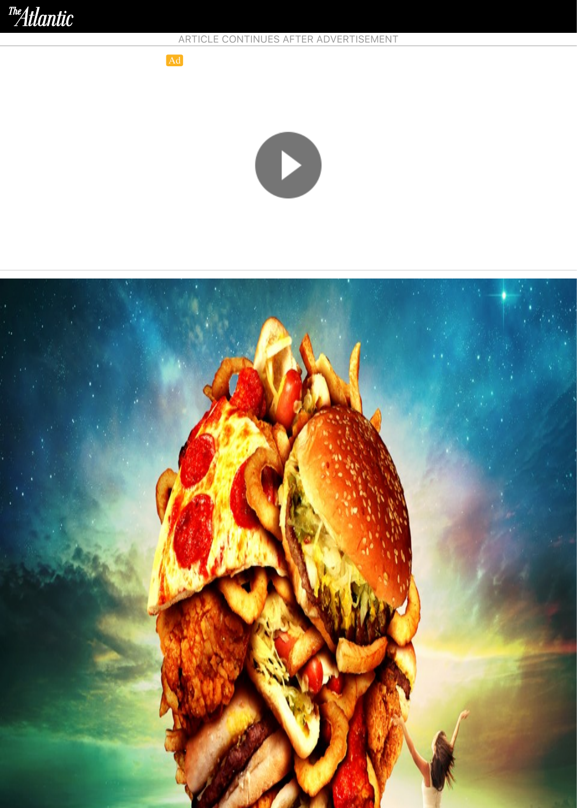

Ad



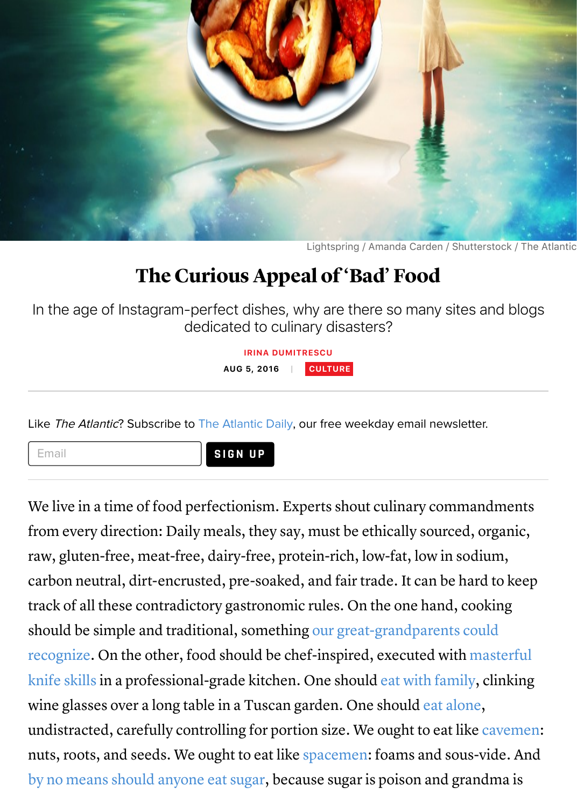

Lightspring / Amanda Carden / Shutterstock / The Atlantic

# The Curious Appeal of 'Bad' Food

In the age of Instagram-perfect dishes, why are there so many sites and blogs dedicated to culinary disasters?



Like The Atlantic? Subscribe to The Atlantic Daily, our free weekday email newsletter.

Email **SIGN UP**

We live in a time of food perfectionism. Experts shout culinary commandments from every direction: Daily meals, they say, must be ethically sourced, organic, raw, gluten-free, meat-free, dairy-free, protein-rich, low-fat, low in sodium, carbon neutral, dirt-encrusted, pre-soaked, and fair trade. It can be hard to keep track of all these contradictory gastronomic rules. On the one hand, cooking should be simple and traditional, something our great-grandparents could recognize. On the other, food should be chef-inspired, executed with masterful knife skills in a professional-grade kitchen. One should [eat with family](http://www.tuscookany.com/blog/the-pleasure-of-eating-together-the-italian-way/), clinking wine glasses over a long table in a Tuscan garden. One should eat alone, undistracted, carefully controlling for portion size. We ought to eat like cavemen: nuts, roots, and seeds. We ought to eat like spacemen: foams and sous-vide. And by no means should anyone eat sugar, because sugar is poison and grandma is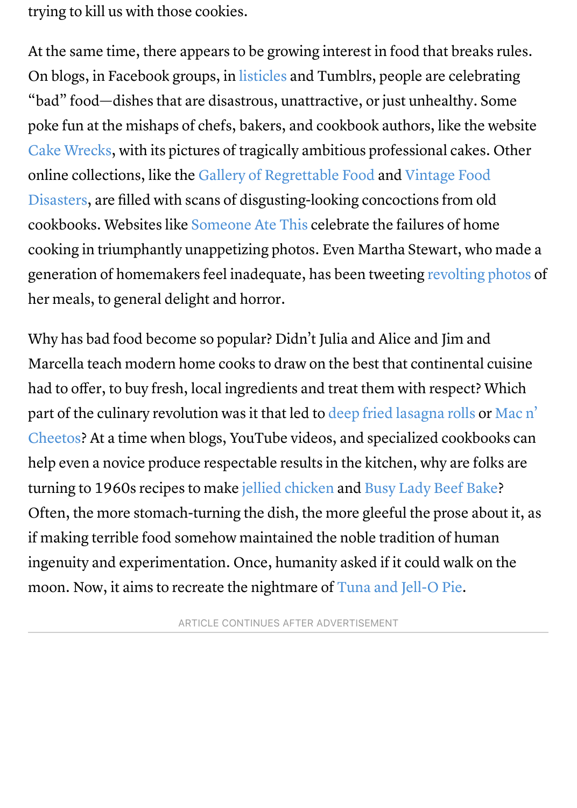trying to kill us with those cookies.

At the same time, there appears to be growing interest in food that breaks rules. On blogs, in Facebook groups, in listicles and Tumblrs, people are celebrating "bad" food—dishes that are disastrous, unattractive, or just unhealthy. Some poke fun at the mishaps of chefs, bakers, and cookbook authors, like the website Cake Wrecks, with its pictures of tragically ambitious professional cakes. Other online collections, like the [Gallery of Regrettable Food](http://www.lileks.com/institute/gallery/) and Vintage Food Disasters, are filled with scans of disgusting-looking concoctions from old cookbooks. Websites like Someone Ate This celebrate the failures of home cooking in triumphantly unappetizing photos. Even Martha Stewart, who made a generation of homemakers feel inadequate, has been tweeting revolting photos of her meals, to general delight and horror.

Why has bad food become so popular? Didn't Julia and Alice and Jim and Marcella teach modern home cooks to draw on the best that continental cuisine had to offer, to buy fresh, local ingredients and treat them with respect? Which part of the culinary revolution was it that led to [deep fried lasagna rolls](https://peepmyeats.com/2015/07/11/deep-fried-lasagna-rolls/) or Mac n' Cheetos? At a time when blogs, YouTube videos, and specialized cookbooks can help even a novice produce respectable results in the kitchen, why are folks are turning to 1960s recipes to make jellied chicken and Busy Lady Beef Bake? Often, the more stomach-turning the dish, the more gleeful the prose about it, as if making terrible food somehow maintained the noble tradition of human ingenuity and experimentation. Once, humanity asked if it could walk on the moon. Now, it aims to recreate the nightmare of Tuna and Jell-O Pie.

ARTICLE CONTINUES AFTER ADVERTISEMENT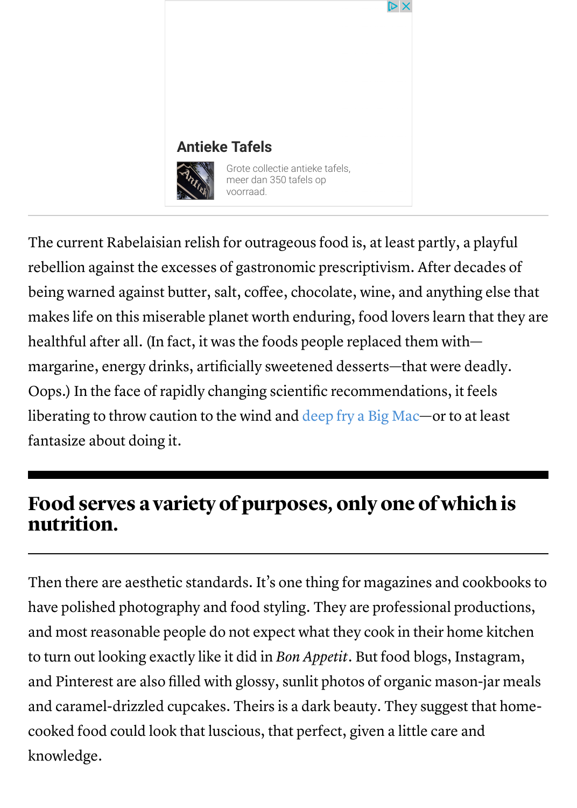#### **Antieke Tafels**



Grote collectie antieke tafels, meer dan 350 tafels op voorraad.

 $\triangleright\times$ 

The current Rabelaisian relish for outrageous food is, at least partly, a playful rebellion against the excesses of gastronomic prescriptivism. After decades of being warned against butter, salt, coffee, chocolate, wine, and anything else that makes life on this miserable planet worth enduring, food lovers learn that they are healthful after all. (In fact, it was the foods people replaced them with margarine, energy drinks, artificially sweetened desserts—that were deadly. Oops.) In the face of rapidly changing scientific recommendations, it feels liberating to throw caution to the wind and deep fry a Big Mac—or to at least fantasize about doing it.

# Food serves a variety of purposes, only one of which is nutrition.

Then there are aesthetic standards. It's one thing for magazines and cookbooks to have polished photography and food styling. They are professional productions, and most reasonable people do not expect what they cook in their home kitchen to turn out looking exactly like it did in *Bon Appetit*. But food blogs, Instagram, and Pinterest are also filled with glossy, sunlit photos of organic mason-jar meals and caramel-drizzled cupcakes. Theirs is a dark beauty. They suggest that homecooked food could look that luscious, that perfect, given a little care and knowledge.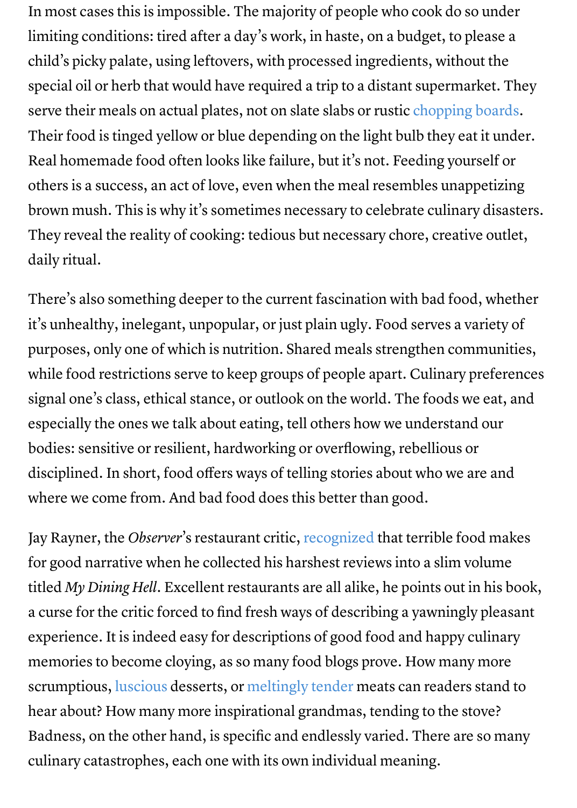In most cases this is impossible. The majority of people who cook do so under limiting conditions: tired after a day's work, in haste, on a budget, to please a child's picky palate, using leftovers, with processed ingredients, without the special oil or herb that would have required a trip to a distant supermarket. They serve their meals on actual plates, not on slate slabs or rustic chopping boards. Their food is tinged yellow or blue depending on the light bulb they eat it under. Real homemade food often looks like failure, but it's not. Feeding yourself or others is a success, an act of love, even when the meal resembles unappetizing brown mush. This is why it's sometimes necessary to celebrate culinary disasters. They reveal the reality of cooking: tedious but necessary chore, creative outlet, daily ritual.

There's also something deeper to the current fascination with bad food, whether it's unhealthy, inelegant, unpopular, or just plain ugly. Food serves a variety of purposes, only one of which is nutrition. Shared meals strengthen communities, while food restrictions serve to keep groups of people apart. Culinary preferences signal one's class, ethical stance, or outlook on the world. The foods we eat, and especially the ones we talk about eating, tell others how we understand our bodies: sensitive or resilient, hardworking or overflowing, rebellious or disciplined. In short, food offers ways of telling stories about who we are and where we come from. And bad food does this better than good.

Jay Rayner, the *Observer*'s restaurant critic, recognized that terrible food makes for good narrative when he collected his harshest reviews into a slim volume titled *My Dining Hell*. Excellent restaurants are all alike, he points out in his book, a curse for the critic forced to find fresh ways of describing a yawningly pleasant experience. It is indeed easy for descriptions of good food and happy culinary memories to become cloying, as so many food blogs prove. How many more scrumptious, luscious desserts, or meltingly tender meats can readers stand to hear about? How many more inspirational grandmas, tending to the stove? Badness, on the other hand, is specific and endlessly varied. There are so many culinary catastrophes, each one with its own individual meaning.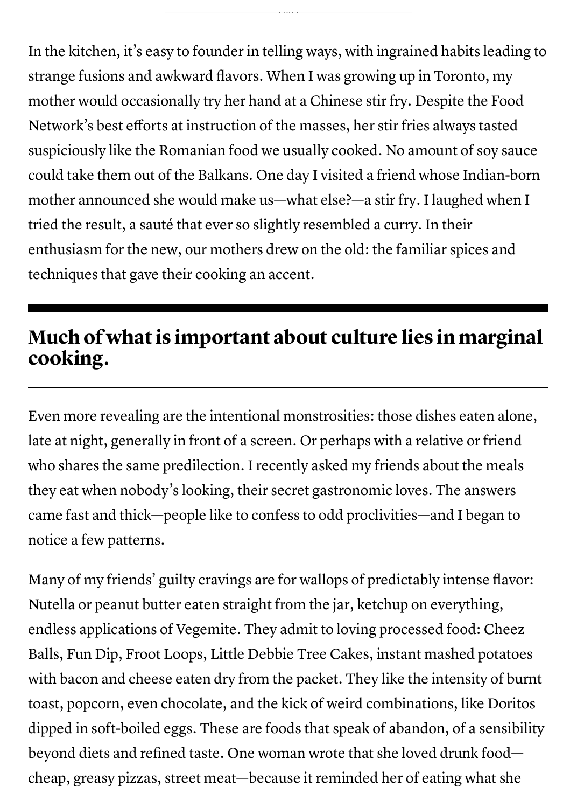In the kitchen, it's easy to founder in telling ways, with ingrained habits leading to strange fusions and awkward flavors. When I was growing up in Toronto, my mother would occasionally try her hand at a Chinese stir fry. Despite the Food Network's best efforts at instruction of the masses, her stir fries always tasted suspiciously like the Romanian food we usually cooked. No amount of soy sauce could take them out of the Balkans. One day I visited a friend whose Indian-born mother announced she would make us—what else?—a stir fry. I laughed when I tried the result, a sauté that ever so slightly resembled a curry. In their enthusiasm for the new, our mothers drew on the old: the familiar spices and techniques that gave their cooking an accent.

Ad

### Much of what is important about culture lies in marginal cooking.

Even more revealing are the intentional monstrosities: those dishes eaten alone, late at night, generally in front of a screen. Or perhaps with a relative or friend who shares the same predilection. I recently asked my friends about the meals they eat when nobody's looking, their secret gastronomic loves. The answers came fast and thick—people like to confess to odd proclivities—and I began to notice a few patterns.

Many of my friends' guilty cravings are for wallops of predictably intense flavor: Nutella or peanut butter eaten straight from the jar, ketchup on everything, endless applications of Vegemite. They admit to loving processed food: Cheez Balls, Fun Dip, Froot Loops, Little Debbie Tree Cakes, instant mashed potatoes with bacon and cheese eaten dry from the packet. They like the intensity of burnt toast, popcorn, even chocolate, and the kick of weird combinations, like Doritos dipped in soft-boiled eggs. These are foods that speak of abandon, of a sensibility beyond diets and refined taste. One woman wrote that she loved drunk food cheap, greasy pizzas, street meat—because it reminded her of eating what she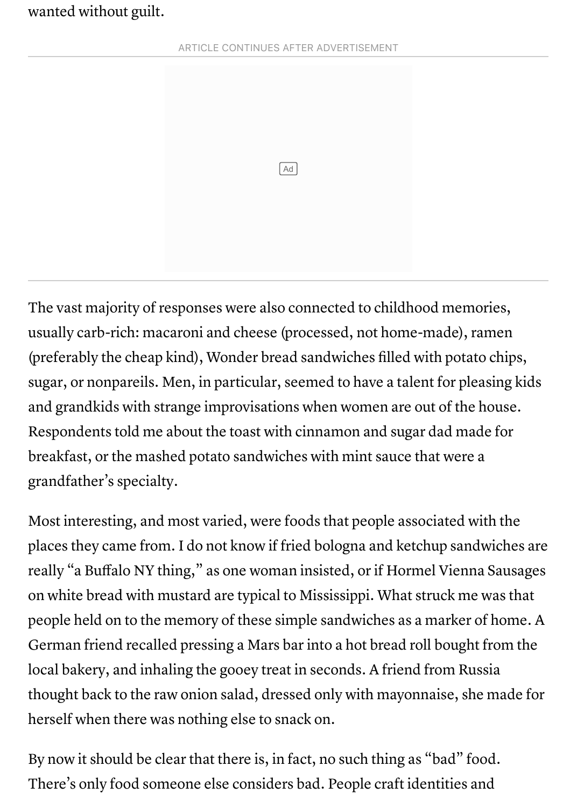wanted without guilt.





The vast majority of responses were also connected to childhood memories, usually carb-rich: macaroni and cheese (processed, not home-made), ramen (preferably the cheap kind), Wonder bread sandwiches filled with potato chips, sugar, or nonpareils. Men, in particular, seemed to have a talent for pleasing kids and grandkids with strange improvisations when women are out of the house. Respondents told me about the toast with cinnamon and sugar dad made for breakfast, or the mashed potato sandwiches with mint sauce that were a grandfather's specialty.

Most interesting, and most varied, were foods that people associated with the places they came from. I do not know if fried bologna and ketchup sandwiches are really "a Buffalo NY thing," as one woman insisted, or if Hormel Vienna Sausages on white bread with mustard are typical to Mississippi. What struck me was that people held on to the memory of these simple sandwiches as a marker of home. A German friend recalled pressing a Mars bar into a hot bread roll bought from the local bakery, and inhaling the gooey treat in seconds. A friend from Russia thought back to the raw onion salad, dressed only with mayonnaise, she made for herself when there was nothing else to snack on.

By now it should be clear that there is, in fact, no such thing as "bad" food. There's only food someone else considers bad. People craft identities and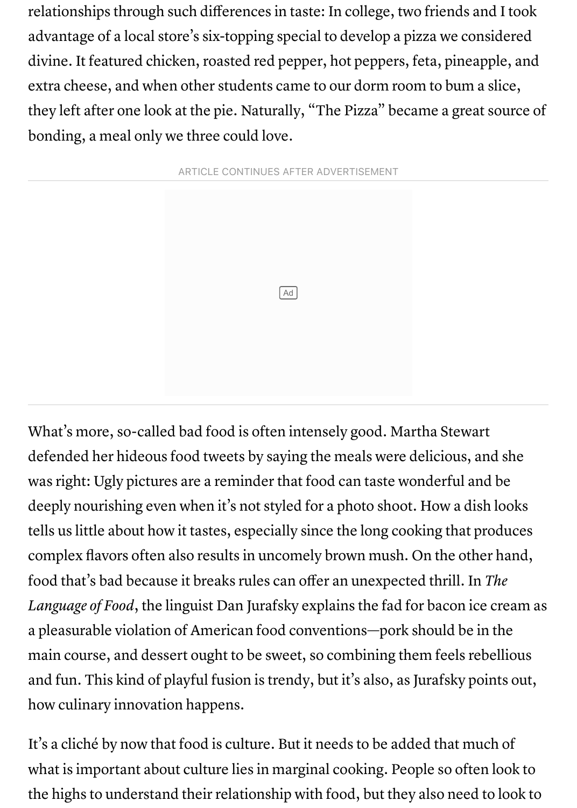relationships through such differences in taste: In college, two friends and I took advantage of a local store's six-topping special to develop a pizza we considered divine. It featured chicken, roasted red pepper, hot peppers, feta, pineapple, and extra cheese, and when other students came to our dorm room to bum a slice, they left after one look at the pie. Naturally, "The Pizza" became a great source of bonding, a meal only we three could love.



What's more, so-called bad food is often intensely good. Martha Stewart defended her hideous food tweets by saying the meals were delicious, and she was right: Ugly pictures are a reminder that food can taste wonderful and be deeply nourishing even when it's not styled for a photo shoot. How a dish looks tells us little about how it tastes, especially since the long cooking that produces complex flavors often also results in uncomely brown mush. On the other hand, food that's bad because it breaks rules can offer an unexpected thrill. In *The Language of Food*, the linguist Dan Jurafsky explains the fad for bacon ice cream as a pleasurable violation of American food conventions—pork should be in the main course, and dessert ought to be sweet, so combining them feels rebellious and fun. This kind of playful fusion is trendy, but it's also, as Jurafsky points out, how culinary innovation happens.

It's a cliché by now that food is culture. But it needs to be added that much of what is important about culture lies in marginal cooking. People so often look to the highs to understand their relationship with food, but they also need to look to